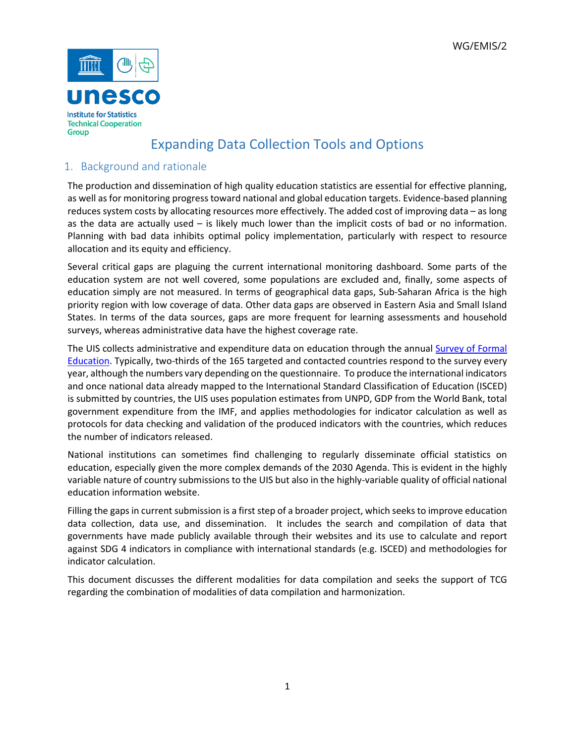

## Expanding Data Collection Tools and Options

## 1. Background and rationale

The production and dissemination of high quality education statistics are essential for effective planning, as well as for monitoring progress toward national and global education targets. Evidence-based planning reduces system costs by allocating resources more effectively. The added cost of improving data – as long as the data are actually used – is likely much lower than the implicit costs of bad or no information. Planning with bad data inhibits optimal policy implementation, particularly with respect to resource allocation and its equity and efficiency.

Several critical gaps are plaguing the current international monitoring dashboard. Some parts of the education system are not well covered, some populations are excluded and, finally, some aspects of education simply are not measured. In terms of geographical data gaps, Sub-Saharan Africa is the high priority region with low coverage of data. Other data gaps are observed in Eastern Asia and Small Island States. In terms of the data sources, gaps are more frequent for learning assessments and household surveys, whereas administrative data have the highest coverage rate.

The UIS collects administrative and expenditure data on education through the annual [Survey of Formal](http://uis.unesco.org/uis-questionnaires)  [Education. T](http://uis.unesco.org/uis-questionnaires)ypically, two-thirds of the 165 targeted and contacted countries respond to the survey every year, although the numbers vary depending on the questionnaire. To produce the international indicators and once national data already mapped to the International Standard Classification of Education (ISCED) is submitted by countries, the UIS uses population estimates from UNPD, GDP from the World Bank, total government expenditure from the IMF, and applies methodologies for indicator calculation as well as protocols for data checking and validation of the produced indicators with the countries, which reduces the number of indicators released.

National institutions can sometimes find challenging to regularly disseminate official statistics on education, especially given the more complex demands of the 2030 Agenda. This is evident in the highly variable nature of country submissions to the UIS but also in the highly-variable quality of official national education information website.

Filling the gaps in current submission is a first step of a broader project, which seeks to improve education data collection, data use, and dissemination. It includes the search and compilation of data that governments have made publicly available through their websites and its use to calculate and report against SDG 4 indicators in compliance with international standards (e.g. ISCED) and methodologies for indicator calculation.

This document discusses the different modalities for data compilation and seeks the support of TCG regarding the combination of modalities of data compilation and harmonization.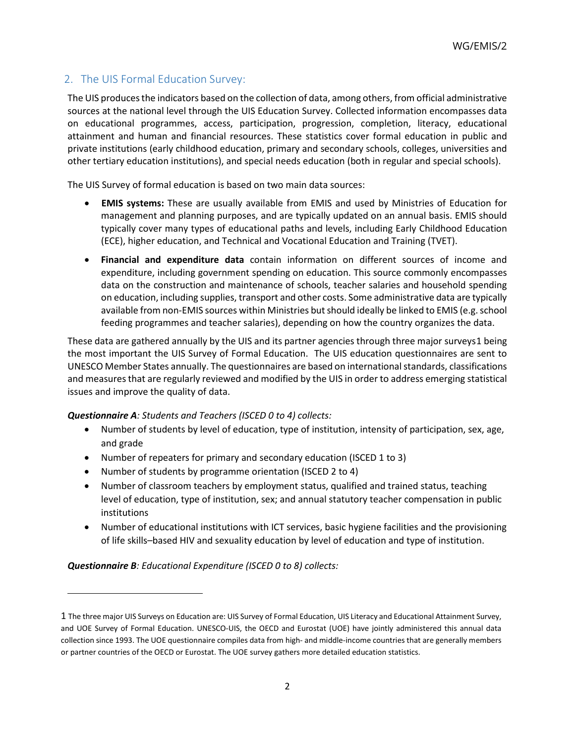## 2. The UIS Formal Education Survey:

The UIS produces the indicators based on the collection of data, among others, from official administrative sources at the national level through the UIS Education Survey. Collected information encompasses data on educational programmes, access, participation, progression, completion, literacy, educational attainment and human and financial resources. These statistics cover formal education in public and private institutions (early childhood education, primary and secondary schools, colleges, universities and other tertiary education institutions), and special needs education (both in regular and special schools).

The UIS Survey of formal education is based on two main data sources:

- **EMIS systems:** These are usually available from EMIS and used by Ministries of Education for management and planning purposes, and are typically updated on an annual basis. EMIS should typically cover many types of educational paths and levels, including Early Childhood Education (ECE), higher education, and Technical and Vocational Education and Training (TVET).
- **Financial and expenditure data** contain information on different sources of income and expenditure, including government spending on education. This source commonly encompasses data on the construction and maintenance of schools, teacher salaries and household spending on education, including supplies, transport and other costs. Some administrative data are typically available from non-EMIS sources within Ministries but should ideally be linked to EMIS (e.g. school feeding programmes and teacher salaries), depending on how the country organizes the data.

These data are gathered annually by the UIS and its partner agencies through three major surveys[1](#page-1-0) being the most important the UIS Survey of Formal Education. The UIS education questionnaires are sent to UNESCO Member States annually. The questionnaires are based on international standards, classifications and measures that are regularly reviewed and modified by the UIS in order to address emerging statistical issues and improve the quality of data.

### *Questionnaire A: Students and Teachers (ISCED 0 to 4) collects:*

- Number of students by level of education, type of institution, intensity of participation, sex, age, and grade
- Number of repeaters for primary and secondary education (ISCED 1 to 3)
- Number of students by programme orientation (ISCED 2 to 4)
- Number of classroom teachers by employment status, qualified and trained status, teaching level of education, type of institution, sex; and annual statutory teacher compensation in public institutions
- Number of educational institutions with ICT services, basic hygiene facilities and the provisioning of life skills–based HIV and sexuality education by level of education and type of institution.

*Questionnaire B: Educational Expenditure (ISCED 0 to 8) collects:*

 $\overline{\phantom{a}}$ 

<span id="page-1-0"></span><sup>1</sup> The three major UIS Surveys on Education are: UIS Survey of Formal Education, UIS Literacy and Educational Attainment Survey, and UOE Survey of Formal Education. UNESCO-UIS, the OECD and Eurostat (UOE) have jointly administered this annual data collection since 1993. The UOE questionnaire compiles data from high- and middle-income countries that are generally members or partner countries of the OECD or Eurostat. The UOE survey gathers more detailed education statistics.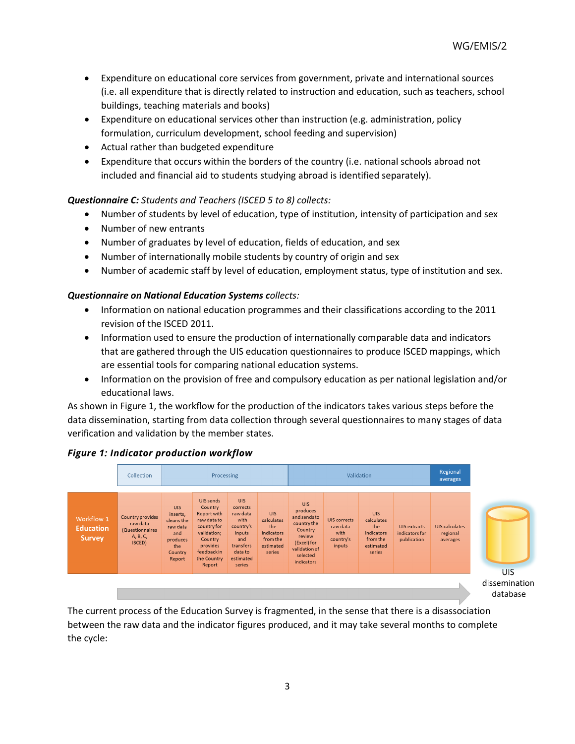- Expenditure on educational core services from government, private and international sources (i.e. all expenditure that is directly related to instruction and education, such as teachers, school buildings, teaching materials and books)
- Expenditure on educational services other than instruction (e.g. administration, policy formulation, curriculum development, school feeding and supervision)
- Actual rather than budgeted expenditure
- Expenditure that occurs within the borders of the country (i.e. national schools abroad not included and financial aid to students studying abroad is identified separately).

## *Questionnaire C: Students and Teachers (ISCED 5 to 8) collects:*

- Number of students by level of education, type of institution, intensity of participation and sex
- Number of new entrants
- Number of graduates by level of education, fields of education, and sex
- Number of internationally mobile students by country of origin and sex
- Number of academic staff by level of education, employment status, type of institution and sex.

### *Questionnaire on National Education Systems collects:*

- Information on national education programmes and their classifications according to the 2011 revision of the ISCED 2011.
- Information used to ensure the production of internationally comparable data and indicators that are gathered through the UIS education questionnaires to produce ISCED mappings, which are essential tools for comparing national education systems.
- Information on the provision of free and compulsory education as per national legislation and/or educational laws.

As shown in Figure 1, the workflow for the production of the indicators takes various steps before the data dissemination, starting from data collection through several questionnaires to many stages of data verification and validation by the member states.

### *Figure 1: Indicator production workflow*



The current process of the Education Survey is fragmented, in the sense that there is a disassociation between the raw data and the indicator figures produced, and it may take several months to complete the cycle: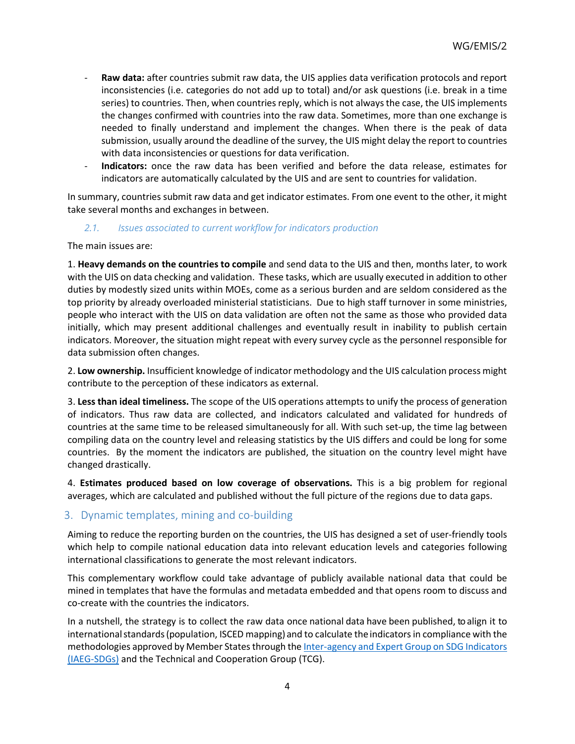- **Raw data:** after countries submit raw data, the UIS applies data verification protocols and report inconsistencies (i.e. categories do not add up to total) and/or ask questions (i.e. break in a time series) to countries. Then, when countries reply, which is not always the case, the UIS implements the changes confirmed with countries into the raw data. Sometimes, more than one exchange is needed to finally understand and implement the changes. When there is the peak of data submission, usually around the deadline of the survey, the UIS might delay the report to countries with data inconsistencies or questions for data verification.
- **Indicators:** once the raw data has been verified and before the data release, estimates for indicators are automatically calculated by the UIS and are sent to countries for validation.

In summary, countries submit raw data and get indicator estimates. From one event to the other, it might take several months and exchanges in between.

#### *2.1. Issues associated to current workflow for indicators production*

The main issues are:

1. **Heavy demands on the countries to compile** and send data to the UIS and then, months later, to work with the UIS on data checking and validation. These tasks, which are usually executed in addition to other duties by modestly sized units within MOEs, come as a serious burden and are seldom considered as the top priority by already overloaded ministerial statisticians. Due to high staff turnover in some ministries, people who interact with the UIS on data validation are often not the same as those who provided data initially, which may present additional challenges and eventually result in inability to publish certain indicators. Moreover, the situation might repeat with every survey cycle as the personnel responsible for data submission often changes.

2. **Low ownership.** Insufficient knowledge of indicator methodology and the UIS calculation process might contribute to the perception of these indicators as external.

3. **Less than ideal timeliness.** The scope of the UIS operations attempts to unify the process of generation of indicators. Thus raw data are collected, and indicators calculated and validated for hundreds of countries at the same time to be released simultaneously for all. With such set-up, the time lag between compiling data on the country level and releasing statistics by the UIS differs and could be long for some countries. By the moment the indicators are published, the situation on the country level might have changed drastically.

4. **Estimates produced based on low coverage of observations.** This is a big problem for regional averages, which are calculated and published without the full picture of the regions due to data gaps.

### 3. Dynamic templates, mining and co-building

Aiming to reduce the reporting burden on the countries, the UIS has designed a set of user-friendly tools which help to compile national education data into relevant education levels and categories following international classifications to generate the most relevant indicators.

This complementary workflow could take advantage of publicly available national data that could be mined in templates that have the formulas and metadata embedded and that opens room to discuss and co-create with the countries the indicators.

In a nutshell, the strategy is to collect the raw data once national data have been published, to align it to international standards (population, ISCED mapping) and to calculate the indicators in compliance with the methodologies approved by Member States through th[e Inter-agency and Expert Group on SDG Indicators](https://unstats.un.org/sdgs/iaeg-sdgs/)  [\(IAEG-SDGs\)](https://unstats.un.org/sdgs/iaeg-sdgs/) and the Technical and Cooperation Group (TCG).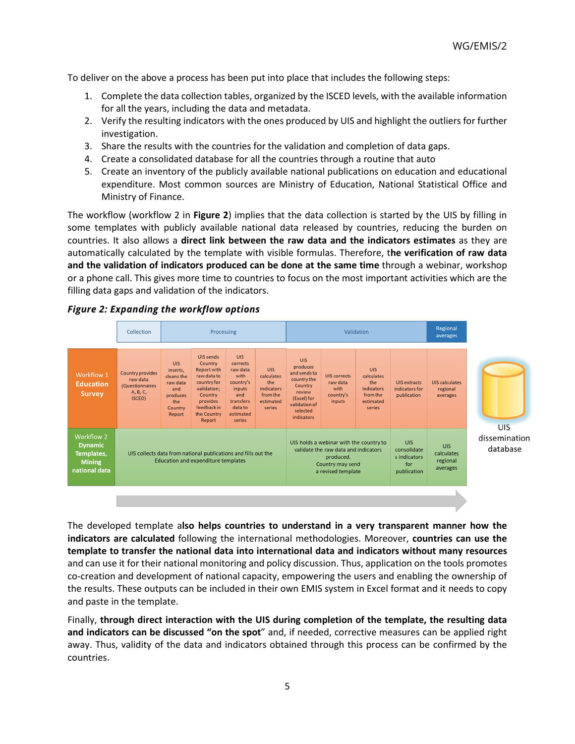To deliver on the above a process has been put into place that includes the following steps:

- 1. Complete the data collection tables, organized by the ISCED levels, with the available information for all the years, including the data and metadata.
- 2. Verify the resulting indicators with the ones produced by UIS and highlight the outliers for further investigation.
- 3. Share the results with the countries for the validation and completion of data gaps.
- 4. Create a consolidated database for all the countries through a routine that auto
- 5. Create an inventory of the publicly available national publications on education and educational expenditure. Most common sources are Ministry of Education, National Statistical Office and Ministry of Finance.

The workflow (workflow 2 in **Figure 2**) implies that the data collection is started by the UIS by filling in some templates with publicly available national data released by countries, reducing the burden on countries. It also allows a **direct link between the raw data and the indicators estimates** as they are automatically calculated by the template with visible formulas. Therefore, t**he verification of raw data and the validation of indicators produced can be done at the same time** through a webinar, workshop or a phone call. This gives more time to countries to focus on the most important activities which are the filling data gaps and validation of the indicators.





The developed template a**lso helps countries to understand in a very transparent manner how the indicators are calculated** following the international methodologies. Moreover, **countries can use the template to transfer the national data into international data and indicators without many resources** and can use it for their national monitoring and policy discussion. Thus, application on the tools promotes co-creation and development of national capacity, empowering the users and enabling the ownership of the results. These outputs can be included in their own EMIS system in Excel format and it needs to copy and paste in the template.

Finally, **through direct interaction with the UIS during completion of the template, the resulting data and indicators can be discussed "on the spot**" and, if needed, corrective measures can be applied right away. Thus, validity of the data and indicators obtained through this process can be confirmed by the countries.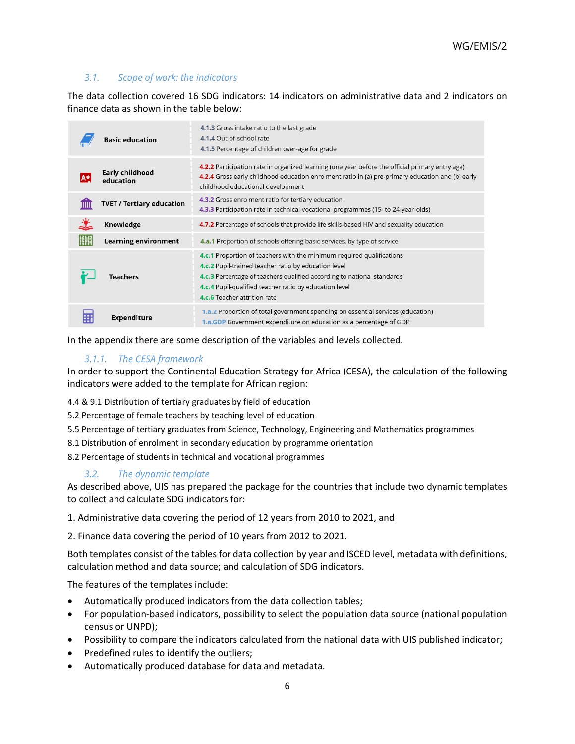## *3.1. Scope of work: the indicators*

The data collection covered 16 SDG indicators: 14 indicators on administrative data and 2 indicators on finance data as shown in the table below:

|  | <b>Basic education</b>           | 4.1.3 Gross intake ratio to the last grade<br>4.1.4 Out-of-school rate<br>4.1.5 Percentage of children over-age for grade                                                                                                                                                                                |
|--|----------------------------------|----------------------------------------------------------------------------------------------------------------------------------------------------------------------------------------------------------------------------------------------------------------------------------------------------------|
|  | Early childhood<br>education     | 4.2.2 Participation rate in organized learning (one year before the official primary entry age)<br>4.2.4 Gross early childhood education enrolment ratio in (a) pre-primary education and (b) early<br>childhood educational development                                                                 |
|  | <b>TVET / Tertiary education</b> | 4.3.2 Gross enrolment ratio for tertiary education<br>4.3.3 Participation rate in technical-vocational programmes (15- to 24-year-olds)                                                                                                                                                                  |
|  | Knowledge                        | 4.7.2 Percentage of schools that provide life skills-based HIV and sexuality education                                                                                                                                                                                                                   |
|  | <b>Learning environment</b>      | <b>4.a.1</b> Proportion of schools offering basic services, by type of service                                                                                                                                                                                                                           |
|  | Teachers                         | 4.c.1 Proportion of teachers with the minimum required qualifications<br>4.c.2 Pupil-trained teacher ratio by education level<br>4.c.3 Percentage of teachers qualified according to national standards<br><b>4.c.4</b> Pupil-qualified teacher ratio by education level<br>4.c.6 Teacher attrition rate |
|  | Expenditure                      | 1.a.2 Proportion of total government spending on essential services (education)<br>1.a.GDP Government expenditure on education as a percentage of GDP                                                                                                                                                    |

In the appendix there are some description of the variables and levels collected.

## *3.1.1. The CESA framework*

In order to support the Continental Education Strategy for Africa (CESA), the calculation of the following indicators were added to the template for African region:

4.4 & 9.1 Distribution of tertiary graduates by field of education

5.2 Percentage of female teachers by teaching level of education

- 5.5 Percentage of tertiary graduates from Science, Technology, Engineering and Mathematics programmes
- 8.1 Distribution of enrolment in secondary education by programme orientation

8.2 Percentage of students in technical and vocational programmes

## *3.2. The dynamic template*

As described above, UIS has prepared the package for the countries that include two dynamic templates to collect and calculate SDG indicators for:

1. Administrative data covering the period of 12 years from 2010 to 2021, and

2. Finance data covering the period of 10 years from 2012 to 2021.

Both templates consist of the tables for data collection by year and ISCED level, metadata with definitions, calculation method and data source; and calculation of SDG indicators.

The features of the templates include:

- Automatically produced indicators from the data collection tables;
- For population-based indicators, possibility to select the population data source (national population census or UNPD);
- Possibility to compare the indicators calculated from the national data with UIS published indicator;
- Predefined rules to identify the outliers;
- Automatically produced database for data and metadata.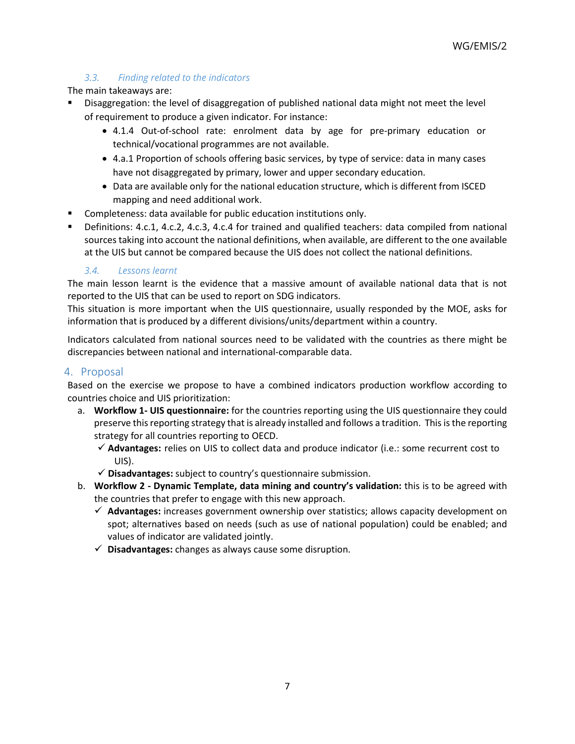## *3.3. Finding related to the indicators*

### The main takeaways are:

- Disaggregation: the level of disaggregation of published national data might not meet the level of requirement to produce a given indicator. For instance:
	- 4.1.4 Out-of-school rate: enrolment data by age for pre-primary education or technical/vocational programmes are not available.
	- 4.a.1 Proportion of schools offering basic services, by type of service: data in many cases have not disaggregated by primary, lower and upper secondary education.
	- Data are available only for the national education structure, which is different from ISCED mapping and need additional work.
- Completeness: data available for public education institutions only.
- Definitions: 4.c.1, 4.c.2, 4.c.3, 4.c.4 for trained and qualified teachers: data compiled from national sources taking into account the national definitions, when available, are different to the one available at the UIS but cannot be compared because the UIS does not collect the national definitions.

### *3.4. Lessons learnt*

The main lesson learnt is the evidence that a massive amount of available national data that is not reported to the UIS that can be used to report on SDG indicators.

This situation is more important when the UIS questionnaire, usually responded by the MOE, asks for information that is produced by a different divisions/units/department within a country.

Indicators calculated from national sources need to be validated with the countries as there might be discrepancies between national and international-comparable data.

## 4. Proposal

Based on the exercise we propose to have a combined indicators production workflow according to countries choice and UIS prioritization:

- a. **Workflow 1- UIS questionnaire:** for the countries reporting using the UIS questionnaire they could preserve this reporting strategy that is already installed and follows a tradition. This is the reporting strategy for all countries reporting to OECD.
	- **Advantages:** relies on UIS to collect data and produce indicator (i.e.: some recurrent cost to UIS).
	- **Disadvantages:** subject to country's questionnaire submission.
- b. **Workflow 2 - Dynamic Template, data mining and country's validation:** this is to be agreed with the countries that prefer to engage with this new approach.
	- **Advantages:** increases government ownership over statistics; allows capacity development on spot; alternatives based on needs (such as use of national population) could be enabled; and values of indicator are validated jointly.
	- **Disadvantages:** changes as always cause some disruption.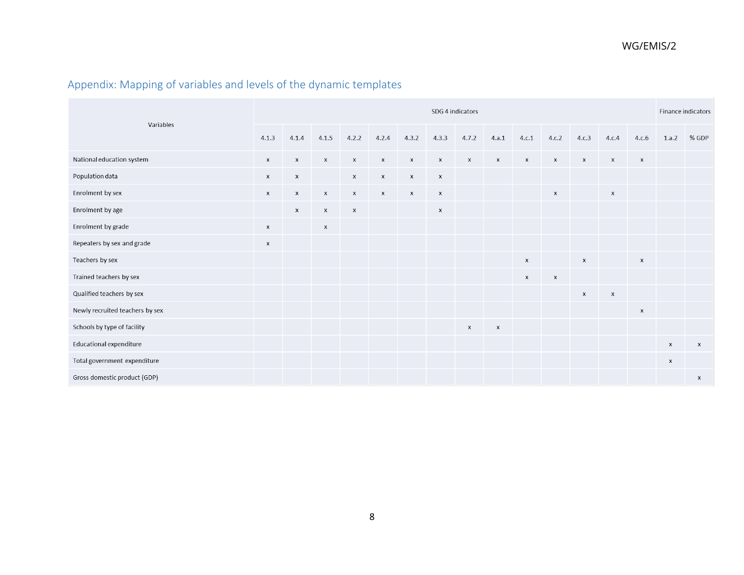# Appendix: Mapping of variables and levels of the dynamic templates

| Variables                       |                    | SDG 4 indicators   |                           |                    |                           |                           |                           |                    |                |              |                           |                           |                    |                           |                    | Finance indicators        |  |
|---------------------------------|--------------------|--------------------|---------------------------|--------------------|---------------------------|---------------------------|---------------------------|--------------------|----------------|--------------|---------------------------|---------------------------|--------------------|---------------------------|--------------------|---------------------------|--|
|                                 |                    | 4.1.4              | 4.1.5                     | 4.2.2              | 4.2.4                     | 4.3.2                     | 4.3.3                     | 4.7.2              | 4.a.1          | 4.c.1        | 4.c.2                     | 4.c.3                     | 4.c.4              | 4.c.6                     |                    | 1.a.2 % GDP               |  |
| National education system       | $\mathsf{x}$       | $\mathsf{x}$       | $\mathsf{x}$              | $\mathsf X$        | $\mathsf{x}$              | $\boldsymbol{\mathsf{x}}$ | X                         | $\mathsf{x}$       | $\mathsf{x}$   | $\mathsf{x}$ | $\mathsf{X}$              | $\boldsymbol{\mathsf{x}}$ | $\mathsf{x}$       | $\boldsymbol{\mathsf{X}}$ |                    |                           |  |
| Population data                 | X                  | $\mathsf{x}$       |                           | $\mathsf{x}$       | $\boldsymbol{\mathsf{x}}$ | $\mathsf{x}$              | $\boldsymbol{\mathsf{x}}$ |                    |                |              |                           |                           |                    |                           |                    |                           |  |
| Enrolment by sex                | $\mathsf{X}$       | $\mathsf{x}$       | $\mathsf{x}$              | $\pmb{\times}$     | $\boldsymbol{\mathsf{X}}$ | $\mathsf{x}$              | $\pmb{\times}$            |                    |                |              | $\boldsymbol{\mathsf{x}}$ |                           | $\pmb{\times}$     |                           |                    |                           |  |
| Enrolment by age                |                    | $\pmb{\mathsf{x}}$ | $\pmb{\times}$            | $\pmb{\mathsf{X}}$ |                           |                           | X                         |                    |                |              |                           |                           |                    |                           |                    |                           |  |
| Enrolment by grade              | $\pmb{\times}$     |                    | $\boldsymbol{\mathsf{x}}$ |                    |                           |                           |                           |                    |                |              |                           |                           |                    |                           |                    |                           |  |
| Repeaters by sex and grade      | $\pmb{\mathsf{x}}$ |                    |                           |                    |                           |                           |                           |                    |                |              |                           |                           |                    |                           |                    |                           |  |
| Teachers by sex                 |                    |                    |                           |                    |                           |                           |                           |                    |                | $\mathsf{x}$ |                           | $\pmb{\mathsf{X}}$        |                    | $\boldsymbol{\mathsf{X}}$ |                    |                           |  |
| Trained teachers by sex         |                    |                    |                           |                    |                           |                           |                           |                    |                | $\mathsf{x}$ | $\pmb{\times}$            |                           |                    |                           |                    |                           |  |
| Qualified teachers by sex       |                    |                    |                           |                    |                           |                           |                           |                    |                |              |                           | X                         | $\pmb{\mathsf{x}}$ |                           |                    |                           |  |
| Newly recruited teachers by sex |                    |                    |                           |                    |                           |                           |                           |                    |                |              |                           |                           |                    | $\boldsymbol{\mathsf{x}}$ |                    |                           |  |
| Schools by type of facility     |                    |                    |                           |                    |                           |                           |                           | $\pmb{\mathsf{X}}$ | $\pmb{\times}$ |              |                           |                           |                    |                           |                    |                           |  |
| Educational expenditure         |                    |                    |                           |                    |                           |                           |                           |                    |                |              |                           |                           |                    |                           | $\pmb{\mathsf{X}}$ | $\boldsymbol{\mathsf{x}}$ |  |
| Total government expenditure    |                    |                    |                           |                    |                           |                           |                           |                    |                |              |                           |                           |                    |                           | $\pmb{\times}$     |                           |  |
| Gross domestic product (GDP)    |                    |                    |                           |                    |                           |                           |                           |                    |                |              |                           |                           |                    |                           |                    | X                         |  |